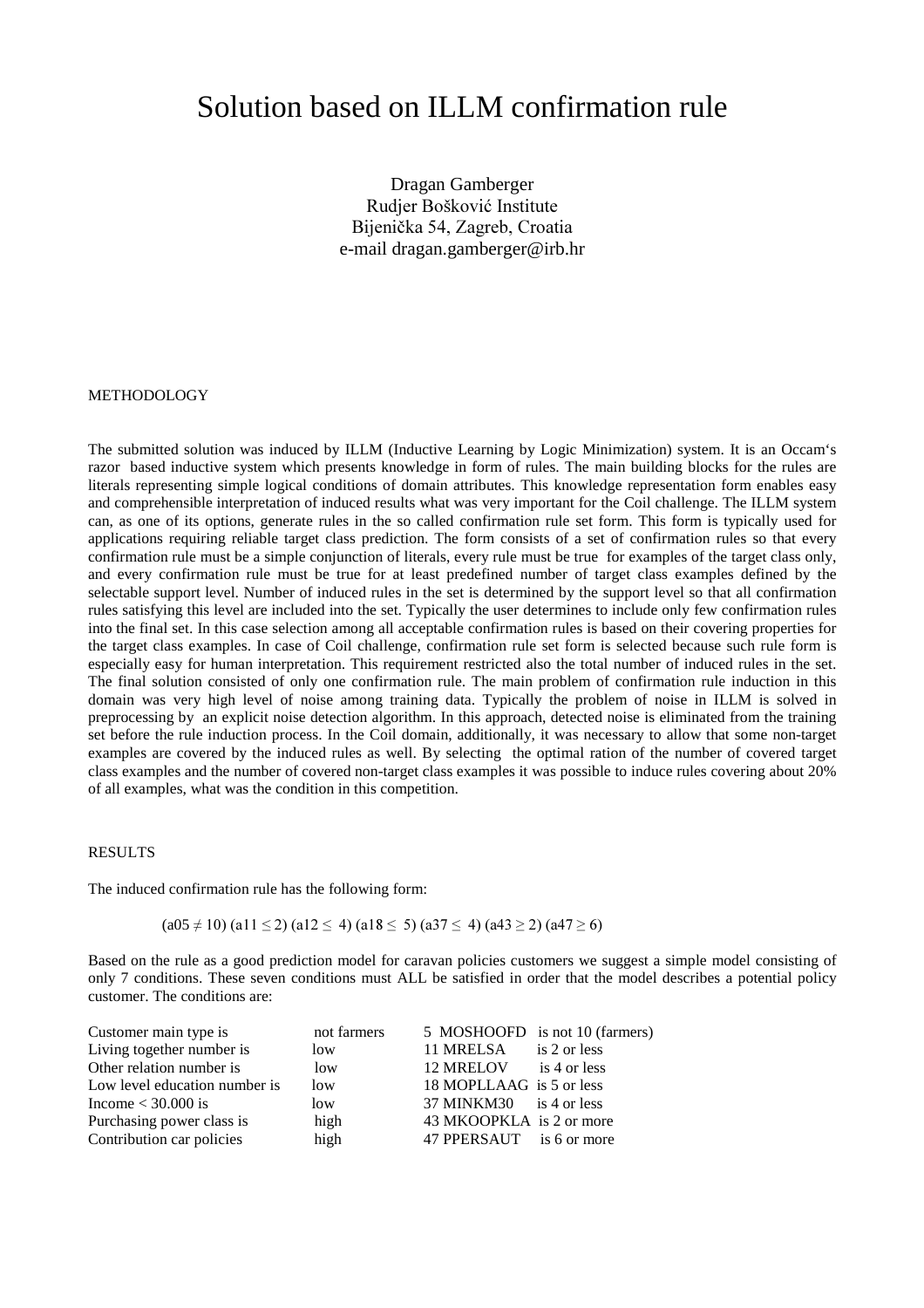# Solution based on ILLM confirmation rule

Dragan Gamberger Rudjer Bošković Institute Bijenička 54, Zagreb, Croatia e-mail dragan.gamberger@irb.hr

#### METHODOLOGY

The submitted solution was induced by ILLM (Inductive Learning by Logic Minimization) system. It is an Occam's razor based inductive system which presents knowledge in form of rules. The main building blocks for the rules are literals representing simple logical conditions of domain attributes. This knowledge representation form enables easy and comprehensible interpretation of induced results what was very important for the Coil challenge. The ILLM system can, as one of its options, generate rules in the so called confirmation rule set form. This form is typically used for applications requiring reliable target class prediction. The form consists of a set of confirmation rules so that every confirmation rule must be a simple conjunction of literals, every rule must be true for examples of the target class only, and every confirmation rule must be true for at least predefined number of target class examples defined by the selectable support level. Number of induced rules in the set is determined by the support level so that all confirmation rules satisfying this level are included into the set. Typically the user determines to include only few confirmation rules into the final set. In this case selection among all acceptable confirmation rules is based on their covering properties for the target class examples. In case of Coil challenge, confirmation rule set form is selected because such rule form is especially easy for human interpretation. This requirement restricted also the total number of induced rules in the set. The final solution consisted of only one confirmation rule. The main problem of confirmation rule induction in this domain was very high level of noise among training data. Typically the problem of noise in ILLM is solved in preprocessing by an explicit noise detection algorithm. In this approach, detected noise is eliminated from the training set before the rule induction process. In the Coil domain, additionally, it was necessary to allow that some non-target examples are covered by the induced rules as well. By selecting the optimal ration of the number of covered target class examples and the number of covered non-target class examples it was possible to induce rules covering about 20% of all examples, what was the condition in this competition.

## RESULTS

The induced confirmation rule has the following form:

 $(a05 \neq 10)$   $(a11 \leq 2)$   $(a12 \leq 4)$   $(a18 \leq 5)$   $(a37 \leq 4)$   $(a43 \geq 2)$   $(a47 \geq 6)$ 

Based on the rule as a good prediction model for caravan policies customers we suggest a simple model consisting of only 7 conditions. These seven conditions must ALL be satisfied in order that the model describes a potential policy customer. The conditions are:

| Customer main type is         | not farmers |                          | 5 MOSHOOFD is not 10 (farmers) |
|-------------------------------|-------------|--------------------------|--------------------------------|
| Living together number is     | low         | 11 MRELSA                | is 2 or less                   |
| Other relation number is      | low         | 12 MRELOV is 4 or less   |                                |
| Low level education number is | low         | 18 MOPLLAAG is 5 or less |                                |
| Income $<$ 30.000 is          | low         | 37 MINKM30 is 4 or less  |                                |
| Purchasing power class is     | high        | 43 MKOOPKLA is 2 or more |                                |
| Contribution car policies     | high        | 47 PPERSAUT is 6 or more |                                |